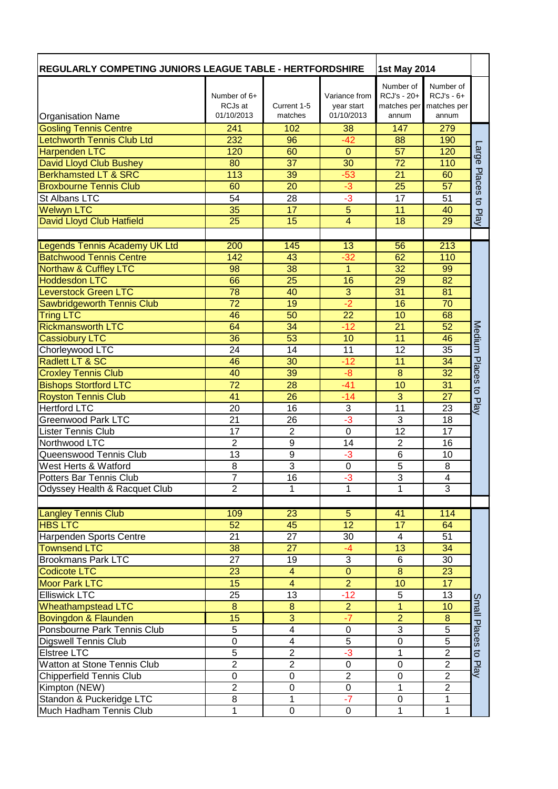| <b>REGULARLY COMPETING JUNIORS LEAGUE TABLE - HERTFORDSHIRE</b> |                       |                         | <b>1st May 2014</b> |                 |                 |                     |
|-----------------------------------------------------------------|-----------------------|-------------------------|---------------------|-----------------|-----------------|---------------------|
|                                                                 |                       |                         |                     | Number of       | Number of       |                     |
|                                                                 | Number of $6+$        |                         | Variance from       | RCJ's - 20+     | $RCJ's - 6+$    |                     |
|                                                                 | RCJs at<br>01/10/2013 | Current 1-5             | year start          | matches per     | matches per     |                     |
| <b>Organisation Name</b>                                        |                       | matches                 | 01/10/2013          | annum           | annum           |                     |
| <b>Gosling Tennis Centre</b>                                    | 241                   | 102                     | 38                  | 147             | 279             |                     |
| <b>Letchworth Tennis Club Ltd</b>                               | 232                   | 96                      | $-42$               | 88              | 190             |                     |
| <b>Harpenden LTC</b>                                            | 120                   | 60                      | $\Omega$            | 57              | 120             | ange                |
| David Lloyd Club Bushey                                         | 80                    | $\overline{37}$         | $\overline{30}$     | $\overline{72}$ | 110             |                     |
| <b>Berkhamsted LT &amp; SRC</b>                                 | 113                   | 39                      | $-53$               | 21              | 60              | Places              |
| <b>Broxbourne Tennis Club</b>                                   | 60                    | 20                      | $-3$                | 25              | 57              |                     |
| St Albans LTC                                                   | 54                    | 28                      | $-3$                | 17              | 51              | $\overline{5}$      |
| Welwyn LTC                                                      | 35                    | 17                      | 5                   | 11              | 40              | Play                |
| David Lloyd Club Hatfield                                       | 25                    | 15                      | 4                   | 18              | 29              |                     |
|                                                                 |                       |                         |                     |                 |                 |                     |
| Legends Tennis Academy UK Ltd                                   | 200                   | 145                     | 13                  | 56              | 213             |                     |
| <b>Batchwood Tennis Centre</b>                                  | 142                   | 43                      | $-32$               | 62              | 110             |                     |
| <b>Northaw &amp; Cuffley LTC</b>                                | 98                    | 38                      | $\overline{1}$      | 32              | 99              |                     |
| <b>Hoddesdon LTC</b>                                            | 66                    | 25                      | 16                  | 29              | 82              |                     |
| <b>Leverstock Green LTC</b>                                     | 78                    | 40                      | $\overline{3}$      | 31              | 81              |                     |
| <b>Sawbridgeworth Tennis Club</b>                               | 72                    | 19                      | $-2$                | 16              | 70              |                     |
| <b>Tring LTC</b>                                                | 46                    | 50                      | 22                  | 10              | 68              |                     |
| <b>Rickmansworth LTC</b>                                        | 64                    | 34                      | $-12$               | 21              | 52              | Medium              |
| <b>Cassiobury LTC</b>                                           | 36                    | 53                      | 10                  | 11              | 46              |                     |
| Chorleywood LTC                                                 | 24                    | 14                      | 11                  | 12              | 35              |                     |
| Radlett LT & SC                                                 | 46                    | 30                      | $-12$               | 11              | 34              | Places              |
| <b>Croxley Tennis Club</b>                                      | 40                    | 39                      | $-8$                | 8               | 32              |                     |
| <b>Bishops Stortford LTC</b>                                    | 72                    | 28                      | $-41$               | 10              | 31              | $\overline{c}$      |
| <b>Royston Tennis Club</b>                                      | 41                    | 26                      | $-14$               | 3               | 27              | Play                |
| <b>Hertford LTC</b>                                             | 20                    | 16                      | 3                   | $\overline{11}$ | 23              |                     |
| Greenwood Park LTC                                              | $\overline{21}$       | $\overline{26}$         | $-3$                | $\overline{3}$  | $\overline{18}$ |                     |
| <b>Lister Tennis Club</b>                                       | $\overline{17}$       | $\overline{2}$          | $\overline{0}$      | $\overline{12}$ | $\overline{17}$ |                     |
| Northwood LTC                                                   | $\overline{c}$        | 9                       | 14                  | $\overline{2}$  | 16              |                     |
| Queenswood Tennis Club                                          | 13                    | $\overline{9}$          | -3                  | 6               | 10              |                     |
| West Herts & Watford                                            | $\overline{8}$        | $\overline{3}$          | 0                   | $\overline{5}$  | 8               |                     |
| Potters Bar Tennis Club                                         | T                     | 16                      | $-3$                | 3               | 4               |                     |
| Odyssey Health & Racquet Club                                   | $\overline{2}$        | 1                       | 1                   | 1               | $\overline{3}$  |                     |
|                                                                 |                       |                         |                     |                 |                 |                     |
| <b>Langley Tennis Club</b>                                      | 109                   | 23                      | $\overline{5}$      | $\overline{41}$ | 114             |                     |
| <b>HBS LTC</b>                                                  | 52                    | 45                      | $\overline{12}$     | $\overline{17}$ | 64              |                     |
| Harpenden Sports Centre                                         | 21                    | 27                      | 30                  | 4               | 51              |                     |
| <b>Townsend LTC</b>                                             | 38                    | 27                      | $-4$                | 13              | 34              |                     |
| <b>Brookmans Park LTC</b>                                       | 27                    | 19                      | $\overline{3}$      | $\overline{6}$  | 30              |                     |
| <b>Codicote LTC</b>                                             | 23                    | $\overline{\mathbf{4}}$ | $\overline{0}$      | $\overline{8}$  | 23              |                     |
| <b>Moor Park LTC</b>                                            | 15                    | $\overline{4}$          | $\overline{2}$      | 10              | 17              |                     |
| <b>Elliswick LTC</b>                                            | 25                    | 13                      | $-12$               | 5               | 13              | Small               |
| <b>Wheathampstead LTC</b>                                       | 8                     | $\overline{8}$          | $\overline{2}$      | $\overline{1}$  | 10              |                     |
| Bovingdon & Flaunden                                            | 15                    | $\overline{3}$          | $-7$                | $\overline{2}$  | 8               |                     |
| Ponsbourne Park Tennis Club                                     | 5                     | $\overline{4}$          | $\pmb{0}$           | 3               | $\overline{5}$  | Places              |
| <b>Digswell Tennis Club</b>                                     | $\boldsymbol{0}$      | $\overline{\mathbf{4}}$ | $\overline{5}$      | 0               | $\overline{5}$  |                     |
| Elstree LTC                                                     | $\overline{5}$        | $\overline{2}$          | $-3$                | $\overline{1}$  | $\overline{2}$  | $\overline{\sigma}$ |
| Watton at Stone Tennis Club                                     | $\overline{2}$        | $\boldsymbol{2}$        | $\pmb{0}$           | $\mathsf 0$     | $\overline{c}$  | Play                |
| <b>Chipperfield Tennis Club</b>                                 | $\mathbf 0$           | $\mathbf 0$             | $\overline{2}$      | $\mathsf 0$     | $\overline{2}$  |                     |
| Kimpton (NEW)                                                   | $\overline{2}$        | $\pmb{0}$               | $\boldsymbol{0}$    | 1               | $\overline{2}$  |                     |
| Standon & Puckeridge LTC                                        | 8                     | $\overline{1}$          | $-7$                | $\pmb{0}$       | $\mathbf{1}$    |                     |
| Much Hadham Tennis Club                                         | $\mathbf{1}$          | $\overline{0}$          | $\overline{0}$      | 1               | 1               |                     |